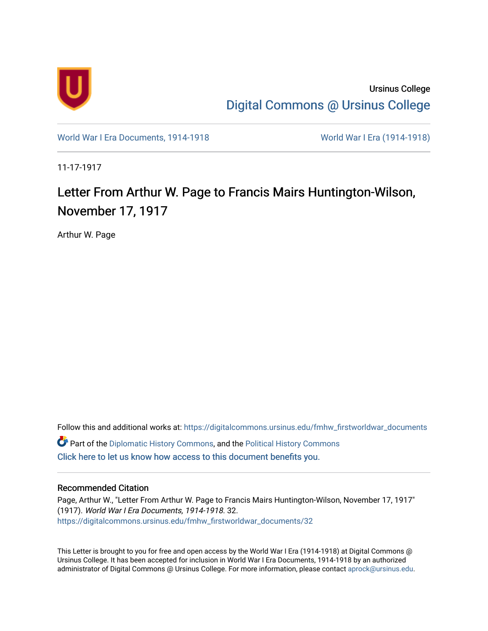

Ursinus College [Digital Commons @ Ursinus College](https://digitalcommons.ursinus.edu/) 

[World War I Era Documents, 1914-1918](https://digitalcommons.ursinus.edu/fmhw_firstworldwar_documents) [World War I Era \(1914-1918\)](https://digitalcommons.ursinus.edu/fmhw_firstworldwar) 

11-17-1917

## Letter From Arthur W. Page to Francis Mairs Huntington-Wilson, November 17, 1917

Arthur W. Page

Follow this and additional works at: [https://digitalcommons.ursinus.edu/fmhw\\_firstworldwar\\_documents](https://digitalcommons.ursinus.edu/fmhw_firstworldwar_documents?utm_source=digitalcommons.ursinus.edu%2Ffmhw_firstworldwar_documents%2F32&utm_medium=PDF&utm_campaign=PDFCoverPages)  Part of the [Diplomatic History Commons,](http://network.bepress.com/hgg/discipline/497?utm_source=digitalcommons.ursinus.edu%2Ffmhw_firstworldwar_documents%2F32&utm_medium=PDF&utm_campaign=PDFCoverPages) and the [Political History Commons](http://network.bepress.com/hgg/discipline/505?utm_source=digitalcommons.ursinus.edu%2Ffmhw_firstworldwar_documents%2F32&utm_medium=PDF&utm_campaign=PDFCoverPages) [Click here to let us know how access to this document benefits you.](https://ursinus.co1.qualtrics.com/jfe/form/SV_1RIyfqzdxsWfMQ5) 

## Recommended Citation

Page, Arthur W., "Letter From Arthur W. Page to Francis Mairs Huntington-Wilson, November 17, 1917" (1917). World War I Era Documents, 1914-1918. 32. [https://digitalcommons.ursinus.edu/fmhw\\_firstworldwar\\_documents/32](https://digitalcommons.ursinus.edu/fmhw_firstworldwar_documents/32?utm_source=digitalcommons.ursinus.edu%2Ffmhw_firstworldwar_documents%2F32&utm_medium=PDF&utm_campaign=PDFCoverPages) 

This Letter is brought to you for free and open access by the World War I Era (1914-1918) at Digital Commons @ Ursinus College. It has been accepted for inclusion in World War I Era Documents, 1914-1918 by an authorized administrator of Digital Commons @ Ursinus College. For more information, please contact [aprock@ursinus.edu.](mailto:aprock@ursinus.edu)